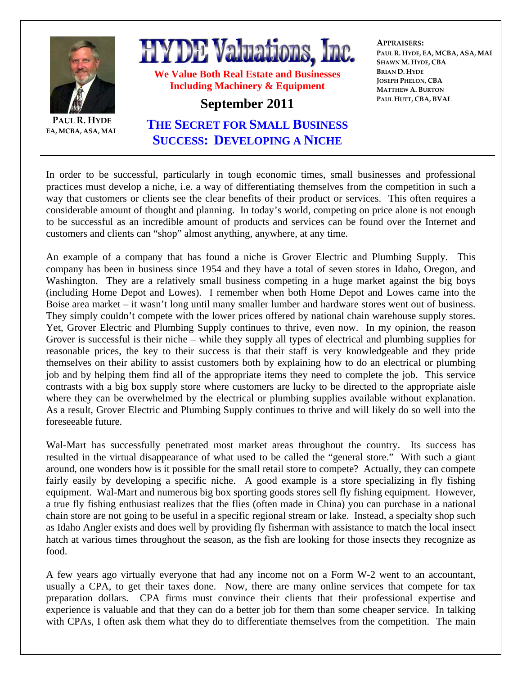

**PAUL R. HYDE EA, MCBA, ASA, MAI**

## **HYDE Valuations, Inc.**

**We Value Both Real Estate and Businesses Including Machinery & Equipment** 

## **September 2011**

**APPRAISERS: PAUL R. HYDE, EA, MCBA, ASA, MAI SHAWN M. HYDE, CBA BRIAN D. HYDE JOSEPH PHELON, CBA MATTHEW A. BURTON PAUL HUTT, CBA, BVAL**

## **THE SECRET FOR SMALL BUSINESS SUCCESS: DEVELOPING A NICHE**

In order to be successful, particularly in tough economic times, small businesses and professional practices must develop a niche, i.e. a way of differentiating themselves from the competition in such a way that customers or clients see the clear benefits of their product or services. This often requires a considerable amount of thought and planning. In today's world, competing on price alone is not enough to be successful as an incredible amount of products and services can be found over the Internet and customers and clients can "shop" almost anything, anywhere, at any time.

An example of a company that has found a niche is Grover Electric and Plumbing Supply. This company has been in business since 1954 and they have a total of seven stores in Idaho, Oregon, and Washington. They are a relatively small business competing in a huge market against the big boys (including Home Depot and Lowes). I remember when both Home Depot and Lowes came into the Boise area market – it wasn't long until many smaller lumber and hardware stores went out of business. They simply couldn't compete with the lower prices offered by national chain warehouse supply stores. Yet, Grover Electric and Plumbing Supply continues to thrive, even now. In my opinion, the reason Grover is successful is their niche – while they supply all types of electrical and plumbing supplies for reasonable prices, the key to their success is that their staff is very knowledgeable and they pride themselves on their ability to assist customers both by explaining how to do an electrical or plumbing job and by helping them find all of the appropriate items they need to complete the job. This service contrasts with a big box supply store where customers are lucky to be directed to the appropriate aisle where they can be overwhelmed by the electrical or plumbing supplies available without explanation. As a result, Grover Electric and Plumbing Supply continues to thrive and will likely do so well into the foreseeable future.

Wal-Mart has successfully penetrated most market areas throughout the country. Its success has resulted in the virtual disappearance of what used to be called the "general store." With such a giant around, one wonders how is it possible for the small retail store to compete? Actually, they can compete fairly easily by developing a specific niche. A good example is a store specializing in fly fishing equipment. Wal-Mart and numerous big box sporting goods stores sell fly fishing equipment. However, a true fly fishing enthusiast realizes that the flies (often made in China) you can purchase in a national chain store are not going to be useful in a specific regional stream or lake. Instead, a specialty shop such as Idaho Angler exists and does well by providing fly fisherman with assistance to match the local insect hatch at various times throughout the season, as the fish are looking for those insects they recognize as food.

A few years ago virtually everyone that had any income not on a Form W-2 went to an accountant, usually a CPA, to get their taxes done. Now, there are many online services that compete for tax preparation dollars. CPA firms must convince their clients that their professional expertise and experience is valuable and that they can do a better job for them than some cheaper service. In talking with CPAs, I often ask them what they do to differentiate themselves from the competition. The main